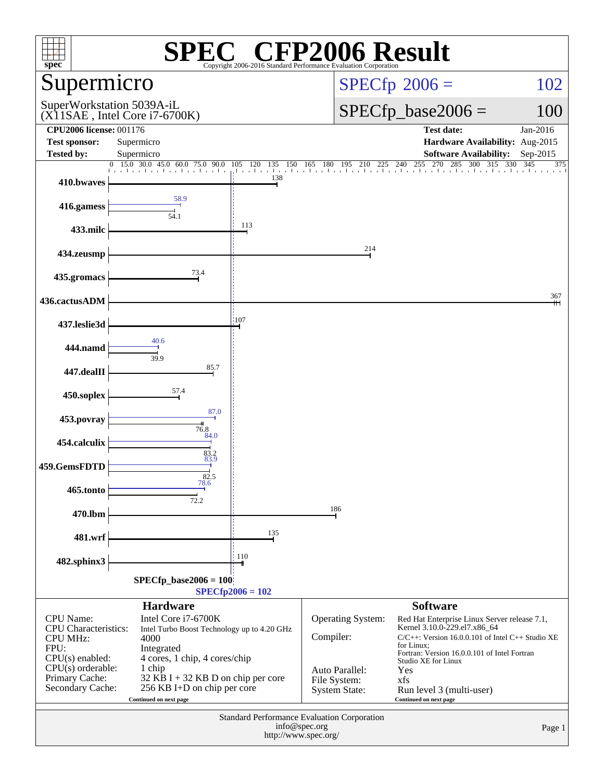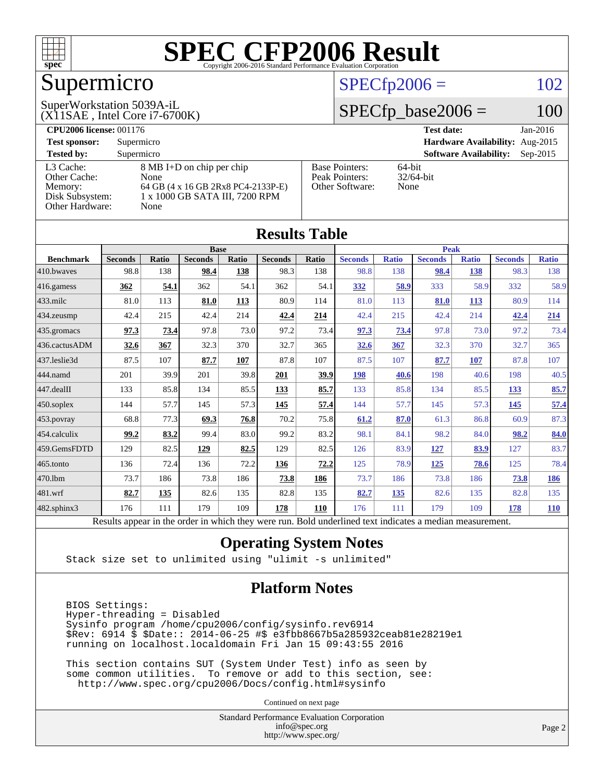

## Supermicro

### $SPECfp2006 = 102$  $SPECfp2006 = 102$

#### (X11SAE , Intel Core i7-6700K) SuperWorkstation 5039A-iL

 $SPECfp\_base2006 = 100$ 

| <b>CPU2006 license: 001176</b> |                                    |                       | <b>Test date:</b><br>$Jan-2016$             |
|--------------------------------|------------------------------------|-----------------------|---------------------------------------------|
| <b>Test sponsor:</b>           | Supermicro                         |                       | Hardware Availability: Aug-2015             |
| <b>Tested by:</b>              | Supermicro                         |                       | <b>Software Availability:</b><br>$Sep-2015$ |
| L3 Cache:                      | 8 MB I+D on chip per chip          | <b>Base Pointers:</b> | $64$ -bit                                   |
| Other Cache:                   | None                               | Peak Pointers:        | $32/64$ -bit                                |
| Memory:                        | 64 GB (4 x 16 GB 2Rx8 PC4-2133P-E) | Other Software:       | None                                        |
| Disk Subsystem:                | 1 x 1000 GB SATA III, 7200 RPM     |                       |                                             |
| Other Hardware:                | None                               |                       |                                             |

**[Results Table](http://www.spec.org/auto/cpu2006/Docs/result-fields.html#ResultsTable)**

|                  |                                                                                                          |       |                |       | Results Table  |       |                |              |                |              |                |              |
|------------------|----------------------------------------------------------------------------------------------------------|-------|----------------|-------|----------------|-------|----------------|--------------|----------------|--------------|----------------|--------------|
|                  |                                                                                                          |       | <b>Base</b>    |       |                |       | <b>Peak</b>    |              |                |              |                |              |
| <b>Benchmark</b> | <b>Seconds</b>                                                                                           | Ratio | <b>Seconds</b> | Ratio | <b>Seconds</b> | Ratio | <b>Seconds</b> | <b>Ratio</b> | <b>Seconds</b> | <b>Ratio</b> | <b>Seconds</b> | <b>Ratio</b> |
| 410.bwaves       | 98.8                                                                                                     | 138   | 98.4           | 138   | 98.3           | 138   | 98.8           | 138          | 98.4           | 138          | 98.3           | 138          |
| 416.gamess       | 362                                                                                                      | 54.1  | 362            | 54.1  | 362            | 54.1  | 332            | 58.9         | 333            | 58.9         | 332            | 58.9         |
| 433.milc         | 81.0                                                                                                     | 113   | 81.0           | 113   | 80.9           | 114   | 81.0           | 113          | 81.0           | <b>113</b>   | 80.9           | 114          |
| 434.zeusmp       | 42.4                                                                                                     | 215   | 42.4           | 214   | 42.4           | 214   | 42.4           | 215          | 42.4           | 214          | 42.4           | 214          |
| 435.gromacs      | 97.3                                                                                                     | 73.4  | 97.8           | 73.0  | 97.2           | 73.4  | 97.3           | <u>73.4</u>  | 97.8           | 73.0         | 97.2           | 73.4         |
| 436.cactusADM    | 32.6                                                                                                     | 367   | 32.3           | 370   | 32.7           | 365   | 32.6           | 367          | 32.3           | 370          | 32.7           | 365          |
| 437.leslie3d     | 87.5                                                                                                     | 107   | 87.7           | 107   | 87.8           | 107   | 87.5           | 107          | 87.7           | 107          | 87.8           | 107          |
| 444.namd         | 201                                                                                                      | 39.9  | 201            | 39.8  | 201            | 39.9  | 198            | 40.6         | 198            | 40.6         | 198            | 40.5         |
| 447.dealII       | 133                                                                                                      | 85.8  | 134            | 85.5  | 133            | 85.7  | 133            | 85.8         | 134            | 85.5         | <u>133</u>     | 85.7         |
| 450.soplex       | 144                                                                                                      | 57.7  | 145            | 57.3  | <u>145</u>     | 57.4  | 144            | 57.7         | 145            | 57.3         | 145            | 57.4         |
| 453.povray       | 68.8                                                                                                     | 77.3  | 69.3           | 76.8  | 70.2           | 75.8  | 61.2           | 87.0         | 61.3           | 86.8         | 60.9           | 87.3         |
| 454.calculix     | 99.2                                                                                                     | 83.2  | 99.4           | 83.0  | 99.2           | 83.2  | 98.1           | 84.1         | 98.2           | 84.0         | 98.2           | 84.0         |
| 459.GemsFDTD     | 129                                                                                                      | 82.5  | 129            | 82.5  | 129            | 82.5  | 126            | 83.9         | 127            | 83.9         | 127            | 83.7         |
| 465.tonto        | 136                                                                                                      | 72.4  | 136            | 72.2  | 136            | 72.2  | 125            | 78.9         | 125            | 78.6         | 125            | 78.4         |
| 470.1bm          | 73.7                                                                                                     | 186   | 73.8           | 186   | 73.8           | 186   | 73.7           | 186          | 73.8           | 186          | 73.8           | <u>186</u>   |
| 481.wrf          | 82.7                                                                                                     | 135   | 82.6           | 135   | 82.8           | 135   | 82.7           | 135          | 82.6           | 135          | 82.8           | 135          |
| 482.sphinx3      | 176                                                                                                      | 111   | 179            | 109   | 178            | 110   | 176            | 111          | 179            | 109          | 178            | <b>110</b>   |
|                  | Results appear in the order in which they were run. Bold underlined text indicates a median measurement. |       |                |       |                |       |                |              |                |              |                |              |

### **[Operating System Notes](http://www.spec.org/auto/cpu2006/Docs/result-fields.html#OperatingSystemNotes)**

Stack size set to unlimited using "ulimit -s unlimited"

### **[Platform Notes](http://www.spec.org/auto/cpu2006/Docs/result-fields.html#PlatformNotes)**

 BIOS Settings: Hyper-threading = Disabled Sysinfo program /home/cpu2006/config/sysinfo.rev6914 \$Rev: 6914 \$ \$Date:: 2014-06-25 #\$ e3fbb8667b5a285932ceab81e28219e1 running on localhost.localdomain Fri Jan 15 09:43:55 2016

 This section contains SUT (System Under Test) info as seen by some common utilities. To remove or add to this section, see: <http://www.spec.org/cpu2006/Docs/config.html#sysinfo>

Continued on next page

Standard Performance Evaluation Corporation [info@spec.org](mailto:info@spec.org) <http://www.spec.org/>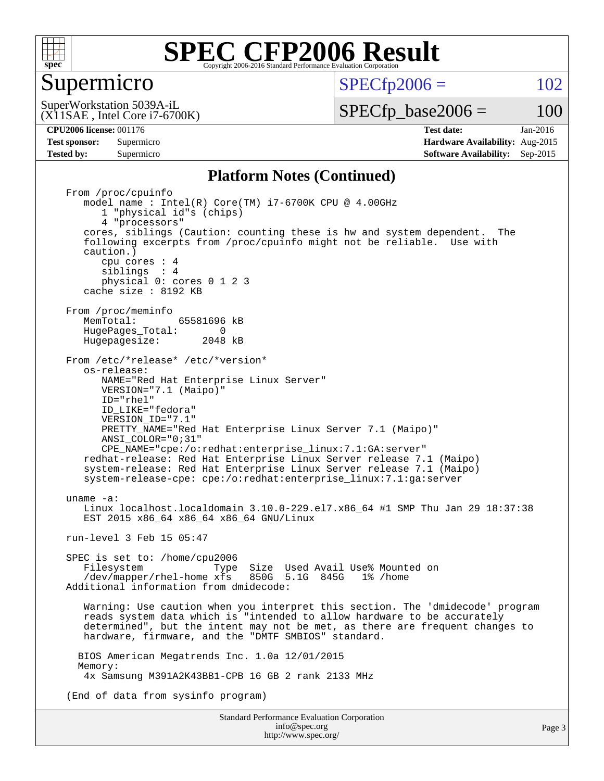

### Supermicro

 $SPECTp2006 = 102$ 

(X11SAE , Intel Core i7-6700K) SuperWorkstation 5039A-iL

 $SPECTp\_base2006 = 100$ 

**[CPU2006 license:](http://www.spec.org/auto/cpu2006/Docs/result-fields.html#CPU2006license)** 001176 **[Test date:](http://www.spec.org/auto/cpu2006/Docs/result-fields.html#Testdate)** Jan-2016 **[Test sponsor:](http://www.spec.org/auto/cpu2006/Docs/result-fields.html#Testsponsor)** Supermicro **[Hardware Availability:](http://www.spec.org/auto/cpu2006/Docs/result-fields.html#HardwareAvailability)** Aug-2015 **[Tested by:](http://www.spec.org/auto/cpu2006/Docs/result-fields.html#Testedby)** Supermicro **Supermicro [Software Availability:](http://www.spec.org/auto/cpu2006/Docs/result-fields.html#SoftwareAvailability)** Sep-2015

#### **[Platform Notes \(Continued\)](http://www.spec.org/auto/cpu2006/Docs/result-fields.html#PlatformNotes)**

Standard Performance Evaluation Corporation From /proc/cpuinfo model name : Intel(R) Core(TM) i7-6700K CPU @ 4.00GHz 1 "physical id"s (chips) 4 "processors" cores, siblings (Caution: counting these is hw and system dependent. The following excerpts from /proc/cpuinfo might not be reliable. Use with caution.) cpu cores : 4 siblings : 4 physical 0: cores 0 1 2 3 cache size : 8192 KB From /proc/meminfo<br>MemTotal: 65581696 kB HugePages\_Total: 0<br>Hugepagesize: 2048 kB Hugepagesize: From /etc/\*release\* /etc/\*version\* os-release: NAME="Red Hat Enterprise Linux Server" VERSION="7.1 (Maipo)" ID="rhel" ID\_LIKE="fedora" VERSION\_ID="7.1" PRETTY NAME="Red Hat Enterprise Linux Server 7.1 (Maipo)" ANSI\_COLOR="0;31" CPE\_NAME="cpe:/o:redhat:enterprise\_linux:7.1:GA:server" redhat-release: Red Hat Enterprise Linux Server release 7.1 (Maipo) system-release: Red Hat Enterprise Linux Server release 7.1 (Maipo) system-release-cpe: cpe:/o:redhat:enterprise\_linux:7.1:ga:server uname -a: Linux localhost.localdomain 3.10.0-229.el7.x86\_64 #1 SMP Thu Jan 29 18:37:38 EST 2015 x86\_64 x86\_64 x86\_64 GNU/Linux run-level 3 Feb 15 05:47 SPEC is set to: /home/cpu2006<br>Filesystem Type Filesystem Type Size Used Avail Use% Mounted on /dev/mapper/rhel-home xfs 850G 5.1G 845G 1% /home Additional information from dmidecode: Warning: Use caution when you interpret this section. The 'dmidecode' program reads system data which is "intended to allow hardware to be accurately determined", but the intent may not be met, as there are frequent changes to hardware, firmware, and the "DMTF SMBIOS" standard. BIOS American Megatrends Inc. 1.0a 12/01/2015 Memory: 4x Samsung M391A2K43BB1-CPB 16 GB 2 rank 2133 MHz (End of data from sysinfo program)

> [info@spec.org](mailto:info@spec.org) <http://www.spec.org/>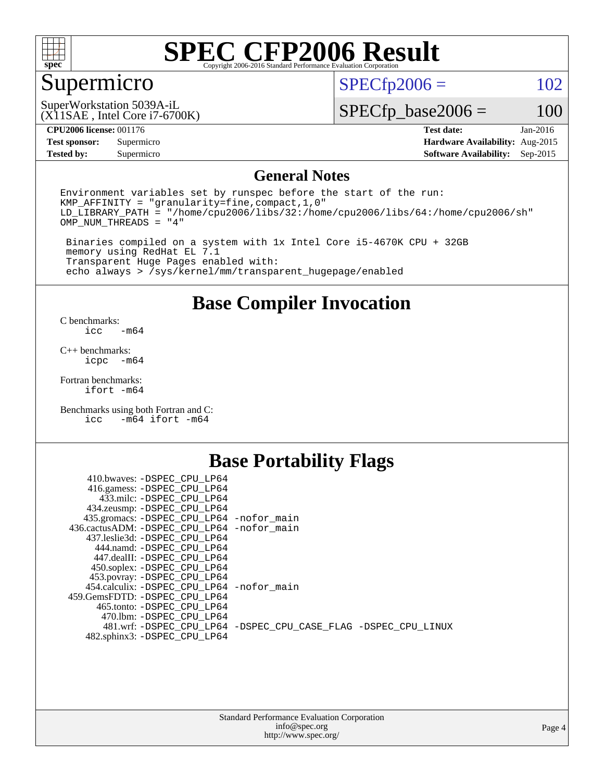

## Supermicro

 $SPECfp2006 = 102$  $SPECfp2006 = 102$ 

(X11SAE , Intel Core i7-6700K) SuperWorkstation 5039A-iL

 $SPECfp\_base2006 = 100$ 

#### **[CPU2006 license:](http://www.spec.org/auto/cpu2006/Docs/result-fields.html#CPU2006license)** 001176 **[Test date:](http://www.spec.org/auto/cpu2006/Docs/result-fields.html#Testdate)** Jan-2016

**[Tested by:](http://www.spec.org/auto/cpu2006/Docs/result-fields.html#Testedby)** Supermicro **[Software Availability:](http://www.spec.org/auto/cpu2006/Docs/result-fields.html#SoftwareAvailability)** Sep-2015

**[Test sponsor:](http://www.spec.org/auto/cpu2006/Docs/result-fields.html#Testsponsor)** Supermicro **[Hardware Availability:](http://www.spec.org/auto/cpu2006/Docs/result-fields.html#HardwareAvailability)** Aug-2015

### **[General Notes](http://www.spec.org/auto/cpu2006/Docs/result-fields.html#GeneralNotes)**

Environment variables set by runspec before the start of the run: KMP\_AFFINITY = "granularity=fine,compact,1,0" LD\_LIBRARY\_PATH = "/home/cpu2006/libs/32:/home/cpu2006/libs/64:/home/cpu2006/sh" OMP\_NUM\_THREADS = "4"

 Binaries compiled on a system with 1x Intel Core i5-4670K CPU + 32GB memory using RedHat EL 7.1 Transparent Huge Pages enabled with: echo always > /sys/kernel/mm/transparent\_hugepage/enabled

### **[Base Compiler Invocation](http://www.spec.org/auto/cpu2006/Docs/result-fields.html#BaseCompilerInvocation)**

[C benchmarks](http://www.spec.org/auto/cpu2006/Docs/result-fields.html#Cbenchmarks):  $-m64$ 

[C++ benchmarks:](http://www.spec.org/auto/cpu2006/Docs/result-fields.html#CXXbenchmarks) [icpc -m64](http://www.spec.org/cpu2006/results/res2016q1/cpu2006-20160120-38744.flags.html#user_CXXbase_intel_icpc_64bit_bedb90c1146cab66620883ef4f41a67e)

[Fortran benchmarks](http://www.spec.org/auto/cpu2006/Docs/result-fields.html#Fortranbenchmarks): [ifort -m64](http://www.spec.org/cpu2006/results/res2016q1/cpu2006-20160120-38744.flags.html#user_FCbase_intel_ifort_64bit_ee9d0fb25645d0210d97eb0527dcc06e)

[Benchmarks using both Fortran and C](http://www.spec.org/auto/cpu2006/Docs/result-fields.html#BenchmarksusingbothFortranandC): [icc -m64](http://www.spec.org/cpu2006/results/res2016q1/cpu2006-20160120-38744.flags.html#user_CC_FCbase_intel_icc_64bit_0b7121f5ab7cfabee23d88897260401c) [ifort -m64](http://www.spec.org/cpu2006/results/res2016q1/cpu2006-20160120-38744.flags.html#user_CC_FCbase_intel_ifort_64bit_ee9d0fb25645d0210d97eb0527dcc06e)

### **[Base Portability Flags](http://www.spec.org/auto/cpu2006/Docs/result-fields.html#BasePortabilityFlags)**

| 410.bwaves: -DSPEC CPU LP64                |                                                                |
|--------------------------------------------|----------------------------------------------------------------|
| 416.gamess: -DSPEC_CPU_LP64                |                                                                |
| 433.milc: -DSPEC CPU LP64                  |                                                                |
| 434.zeusmp: -DSPEC_CPU_LP64                |                                                                |
| 435.gromacs: -DSPEC_CPU_LP64 -nofor_main   |                                                                |
| 436.cactusADM: -DSPEC CPU LP64 -nofor main |                                                                |
| 437.leslie3d: -DSPEC CPU LP64              |                                                                |
| 444.namd: -DSPEC CPU LP64                  |                                                                |
| 447.dealII: -DSPEC CPU LP64                |                                                                |
| 450.soplex: -DSPEC_CPU_LP64                |                                                                |
| 453.povray: -DSPEC_CPU_LP64                |                                                                |
| 454.calculix: -DSPEC CPU LP64 -nofor main  |                                                                |
| 459. GemsFDTD: - DSPEC CPU LP64            |                                                                |
| 465.tonto: - DSPEC CPU LP64                |                                                                |
| 470.1bm: - DSPEC CPU LP64                  |                                                                |
|                                            | 481.wrf: -DSPEC CPU_LP64 -DSPEC_CPU_CASE_FLAG -DSPEC_CPU_LINUX |
| 482.sphinx3: -DSPEC_CPU_LP64               |                                                                |
|                                            |                                                                |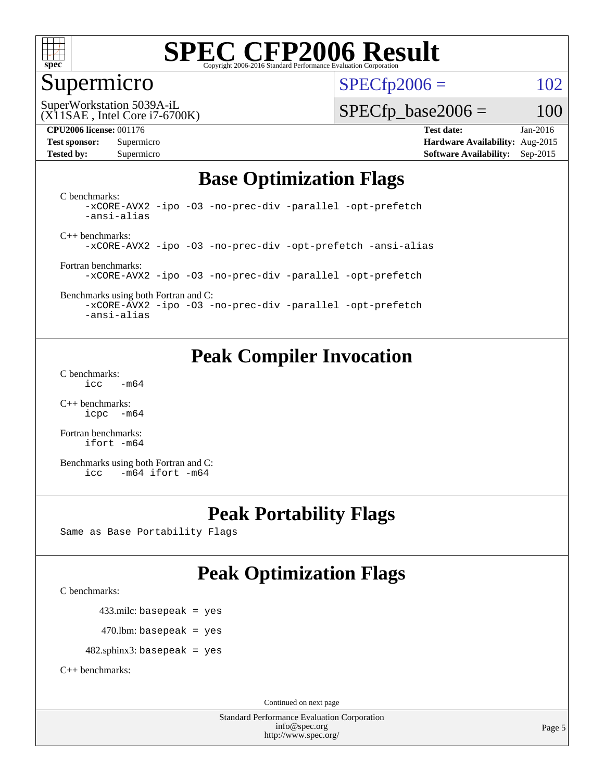

### Supermicro

 $SPECTp2006 = 102$ 

(X11SAE , Intel Core i7-6700K) SuperWorkstation 5039A-iL

 $SPECfp\_base2006 = 100$ 

**[CPU2006 license:](http://www.spec.org/auto/cpu2006/Docs/result-fields.html#CPU2006license)** 001176 **[Test date:](http://www.spec.org/auto/cpu2006/Docs/result-fields.html#Testdate)** Jan-2016 **[Test sponsor:](http://www.spec.org/auto/cpu2006/Docs/result-fields.html#Testsponsor)** Supermicro **[Hardware Availability:](http://www.spec.org/auto/cpu2006/Docs/result-fields.html#HardwareAvailability)** Aug-2015 **[Tested by:](http://www.spec.org/auto/cpu2006/Docs/result-fields.html#Testedby)** Supermicro **Supermicro [Software Availability:](http://www.spec.org/auto/cpu2006/Docs/result-fields.html#SoftwareAvailability)** Sep-2015

### **[Base Optimization Flags](http://www.spec.org/auto/cpu2006/Docs/result-fields.html#BaseOptimizationFlags)**

[C benchmarks](http://www.spec.org/auto/cpu2006/Docs/result-fields.html#Cbenchmarks): [-xCORE-AVX2](http://www.spec.org/cpu2006/results/res2016q1/cpu2006-20160120-38744.flags.html#user_CCbase_f-xAVX2_5f5fc0cbe2c9f62c816d3e45806c70d7) [-ipo](http://www.spec.org/cpu2006/results/res2016q1/cpu2006-20160120-38744.flags.html#user_CCbase_f-ipo) [-O3](http://www.spec.org/cpu2006/results/res2016q1/cpu2006-20160120-38744.flags.html#user_CCbase_f-O3) [-no-prec-div](http://www.spec.org/cpu2006/results/res2016q1/cpu2006-20160120-38744.flags.html#user_CCbase_f-no-prec-div) [-parallel](http://www.spec.org/cpu2006/results/res2016q1/cpu2006-20160120-38744.flags.html#user_CCbase_f-parallel) [-opt-prefetch](http://www.spec.org/cpu2006/results/res2016q1/cpu2006-20160120-38744.flags.html#user_CCbase_f-opt-prefetch) [-ansi-alias](http://www.spec.org/cpu2006/results/res2016q1/cpu2006-20160120-38744.flags.html#user_CCbase_f-ansi-alias)

[C++ benchmarks:](http://www.spec.org/auto/cpu2006/Docs/result-fields.html#CXXbenchmarks) [-xCORE-AVX2](http://www.spec.org/cpu2006/results/res2016q1/cpu2006-20160120-38744.flags.html#user_CXXbase_f-xAVX2_5f5fc0cbe2c9f62c816d3e45806c70d7) [-ipo](http://www.spec.org/cpu2006/results/res2016q1/cpu2006-20160120-38744.flags.html#user_CXXbase_f-ipo) [-O3](http://www.spec.org/cpu2006/results/res2016q1/cpu2006-20160120-38744.flags.html#user_CXXbase_f-O3) [-no-prec-div](http://www.spec.org/cpu2006/results/res2016q1/cpu2006-20160120-38744.flags.html#user_CXXbase_f-no-prec-div) [-opt-prefetch](http://www.spec.org/cpu2006/results/res2016q1/cpu2006-20160120-38744.flags.html#user_CXXbase_f-opt-prefetch) [-ansi-alias](http://www.spec.org/cpu2006/results/res2016q1/cpu2006-20160120-38744.flags.html#user_CXXbase_f-ansi-alias)

[Fortran benchmarks](http://www.spec.org/auto/cpu2006/Docs/result-fields.html#Fortranbenchmarks): [-xCORE-AVX2](http://www.spec.org/cpu2006/results/res2016q1/cpu2006-20160120-38744.flags.html#user_FCbase_f-xAVX2_5f5fc0cbe2c9f62c816d3e45806c70d7) [-ipo](http://www.spec.org/cpu2006/results/res2016q1/cpu2006-20160120-38744.flags.html#user_FCbase_f-ipo) [-O3](http://www.spec.org/cpu2006/results/res2016q1/cpu2006-20160120-38744.flags.html#user_FCbase_f-O3) [-no-prec-div](http://www.spec.org/cpu2006/results/res2016q1/cpu2006-20160120-38744.flags.html#user_FCbase_f-no-prec-div) [-parallel](http://www.spec.org/cpu2006/results/res2016q1/cpu2006-20160120-38744.flags.html#user_FCbase_f-parallel) [-opt-prefetch](http://www.spec.org/cpu2006/results/res2016q1/cpu2006-20160120-38744.flags.html#user_FCbase_f-opt-prefetch)

[Benchmarks using both Fortran and C](http://www.spec.org/auto/cpu2006/Docs/result-fields.html#BenchmarksusingbothFortranandC): [-xCORE-AVX2](http://www.spec.org/cpu2006/results/res2016q1/cpu2006-20160120-38744.flags.html#user_CC_FCbase_f-xAVX2_5f5fc0cbe2c9f62c816d3e45806c70d7) [-ipo](http://www.spec.org/cpu2006/results/res2016q1/cpu2006-20160120-38744.flags.html#user_CC_FCbase_f-ipo) [-O3](http://www.spec.org/cpu2006/results/res2016q1/cpu2006-20160120-38744.flags.html#user_CC_FCbase_f-O3) [-no-prec-div](http://www.spec.org/cpu2006/results/res2016q1/cpu2006-20160120-38744.flags.html#user_CC_FCbase_f-no-prec-div) [-parallel](http://www.spec.org/cpu2006/results/res2016q1/cpu2006-20160120-38744.flags.html#user_CC_FCbase_f-parallel) [-opt-prefetch](http://www.spec.org/cpu2006/results/res2016q1/cpu2006-20160120-38744.flags.html#user_CC_FCbase_f-opt-prefetch)

[-ansi-alias](http://www.spec.org/cpu2006/results/res2016q1/cpu2006-20160120-38744.flags.html#user_CC_FCbase_f-ansi-alias)

### **[Peak Compiler Invocation](http://www.spec.org/auto/cpu2006/Docs/result-fields.html#PeakCompilerInvocation)**

[C benchmarks](http://www.spec.org/auto/cpu2006/Docs/result-fields.html#Cbenchmarks):  $\text{icc}$   $-\text{m64}$ 

[C++ benchmarks:](http://www.spec.org/auto/cpu2006/Docs/result-fields.html#CXXbenchmarks) [icpc -m64](http://www.spec.org/cpu2006/results/res2016q1/cpu2006-20160120-38744.flags.html#user_CXXpeak_intel_icpc_64bit_bedb90c1146cab66620883ef4f41a67e)

[Fortran benchmarks](http://www.spec.org/auto/cpu2006/Docs/result-fields.html#Fortranbenchmarks): [ifort -m64](http://www.spec.org/cpu2006/results/res2016q1/cpu2006-20160120-38744.flags.html#user_FCpeak_intel_ifort_64bit_ee9d0fb25645d0210d97eb0527dcc06e)

[Benchmarks using both Fortran and C](http://www.spec.org/auto/cpu2006/Docs/result-fields.html#BenchmarksusingbothFortranandC): [icc -m64](http://www.spec.org/cpu2006/results/res2016q1/cpu2006-20160120-38744.flags.html#user_CC_FCpeak_intel_icc_64bit_0b7121f5ab7cfabee23d88897260401c) [ifort -m64](http://www.spec.org/cpu2006/results/res2016q1/cpu2006-20160120-38744.flags.html#user_CC_FCpeak_intel_ifort_64bit_ee9d0fb25645d0210d97eb0527dcc06e)

### **[Peak Portability Flags](http://www.spec.org/auto/cpu2006/Docs/result-fields.html#PeakPortabilityFlags)**

Same as Base Portability Flags

## **[Peak Optimization Flags](http://www.spec.org/auto/cpu2006/Docs/result-fields.html#PeakOptimizationFlags)**

[C benchmarks](http://www.spec.org/auto/cpu2006/Docs/result-fields.html#Cbenchmarks):

433.milc: basepeak = yes

 $470.$ lbm: basepeak = yes

482.sphinx3: basepeak = yes

[C++ benchmarks:](http://www.spec.org/auto/cpu2006/Docs/result-fields.html#CXXbenchmarks)

Continued on next page

Standard Performance Evaluation Corporation [info@spec.org](mailto:info@spec.org) <http://www.spec.org/>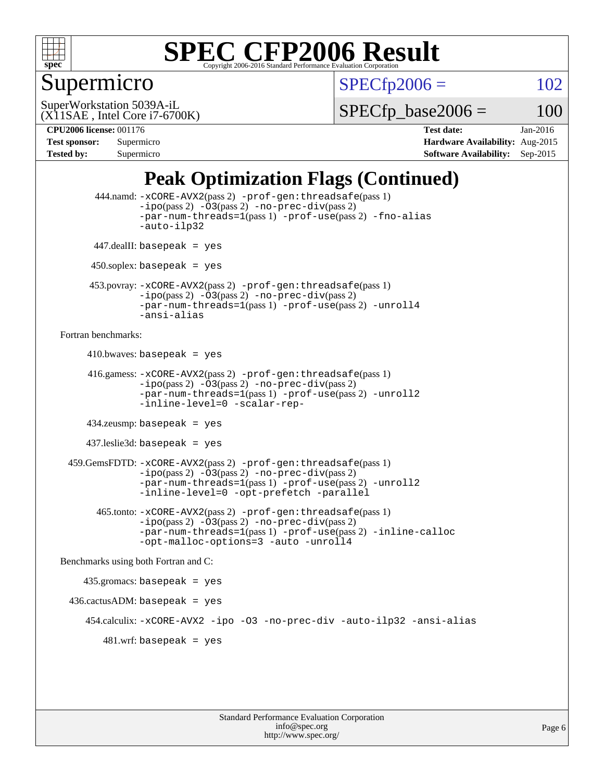

## Supermicro

 $SPECTp2006 = 102$ 

(X11SAE , Intel Core i7-6700K) SuperWorkstation 5039A-iL

 $SPECTp\_base2006 = 100$ 

**[CPU2006 license:](http://www.spec.org/auto/cpu2006/Docs/result-fields.html#CPU2006license)** 001176 **[Test date:](http://www.spec.org/auto/cpu2006/Docs/result-fields.html#Testdate)** Jan-2016 **[Test sponsor:](http://www.spec.org/auto/cpu2006/Docs/result-fields.html#Testsponsor)** Supermicro **[Hardware Availability:](http://www.spec.org/auto/cpu2006/Docs/result-fields.html#HardwareAvailability)** Aug-2015 **[Tested by:](http://www.spec.org/auto/cpu2006/Docs/result-fields.html#Testedby)** Supermicro **Supermicro [Software Availability:](http://www.spec.org/auto/cpu2006/Docs/result-fields.html#SoftwareAvailability)** Sep-2015

### **[Peak Optimization Flags \(Continued\)](http://www.spec.org/auto/cpu2006/Docs/result-fields.html#PeakOptimizationFlags)**

```
 444.namd: -xCORE-AVX2(pass 2) -prof-gen:threadsafe(pass 1)
               -ipo(pass 2) -03(pass 2) -no-prec-div(pass 2)
               -par-num-threads=1(pass 1) -prof-use(pass 2) -fno-alias
               -auto-ilp32
      447.dealII: basepeak = yes
      450.soplex: basepeak = yes
      453.povray: -xCORE-AVX2(pass 2) -prof-gen:threadsafe(pass 1)
               -no-prec-div(pass 2)-par-num-threads=1(pass 1) -prof-use(pass 2) -unroll4
               -ansi-alias
Fortran benchmarks: 
     410.bwaves: basepeak = yes 416.gamess: -xCORE-AVX2(pass 2) -prof-gen:threadsafe(pass 1)
               -ipo(pass 2) -03(pass 2) -no-prec-div(pass 2)-par-num-threads=1(pass 1) -prof-use(pass 2) -unroll2
               -inline-level=0 -scalar-rep-
      434.zeusmp: basepeak = yes
     437.leslie3d: basepeak = yes
  459.GemsFDTD: -xCORE-AVX2(pass 2) -prof-gen:threadsafe(pass 1)
               -i\text{po}(pass 2) -\tilde{O}3(pass 2)-no-prec-div(pass 2)
               -par-num-threads=1(pass 1) -prof-use(pass 2) -unroll2
               -inline-level=0 -opt-prefetch -parallel
        465.tonto: -xCORE-AVX2(pass 2) -prof-gen:threadsafe(pass 1)
               -no-prec-div(pass 2)-par-num-threads=1(pass 1) -prof-use(pass 2) -inline-calloc
               -opt-malloc-options=3 -auto -unroll4
Benchmarks using both Fortran and C: 
     435.gromacs: basepeak = yes
 436.cactusADM:basepeak = yes 454.calculix: -xCORE-AVX2 -ipo -O3 -no-prec-div -auto-ilp32 -ansi-alias
        481.wrf: basepeak = yes
```